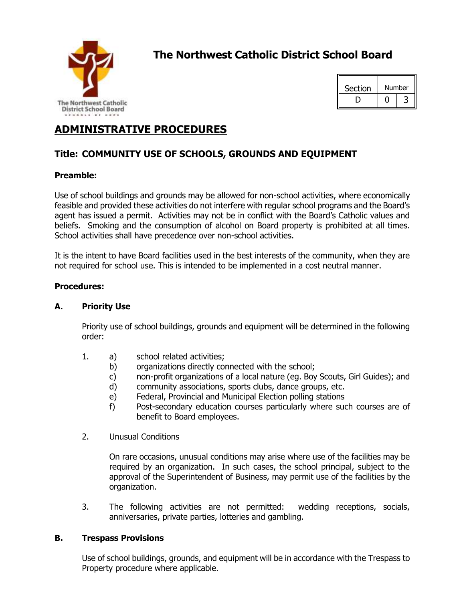

# **The Northwest Catholic District School Board**



## **ADMINISTRATIVE PROCEDURES**

## **Title: COMMUNITY USE OF SCHOOLS, GROUNDS AND EQUIPMENT**

### **Preamble:**

Use of school buildings and grounds may be allowed for non-school activities, where economically feasible and provided these activities do not interfere with regular school programs and the Board's agent has issued a permit. Activities may not be in conflict with the Board's Catholic values and beliefs. Smoking and the consumption of alcohol on Board property is prohibited at all times. School activities shall have precedence over non-school activities.

It is the intent to have Board facilities used in the best interests of the community, when they are not required for school use. This is intended to be implemented in a cost neutral manner.

#### **Procedures:**

#### **A. Priority Use**

Priority use of school buildings, grounds and equipment will be determined in the following order:

- 1. a) school related activities;
	- b) organizations directly connected with the school;
	- c) non-profit organizations of a local nature (eg. Boy Scouts, Girl Guides); and
	- d) community associations, sports clubs, dance groups, etc.
	- e) Federal, Provincial and Municipal Election polling stations
	- f) Post-secondary education courses particularly where such courses are of benefit to Board employees.
- 2. Unusual Conditions

On rare occasions, unusual conditions may arise where use of the facilities may be required by an organization. In such cases, the school principal, subject to the approval of the Superintendent of Business, may permit use of the facilities by the organization.

3. The following activities are not permitted: wedding receptions, socials, anniversaries, private parties, lotteries and gambling.

#### **B. Trespass Provisions**

Use of school buildings, grounds, and equipment will be in accordance with the Trespass to Property procedure where applicable.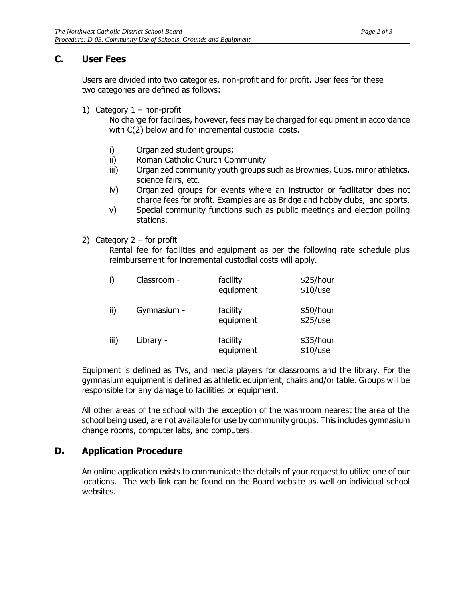### **C. User Fees**

Users are divided into two categories, non-profit and for profit. User fees for these two categories are defined as follows:

1) Category  $1 -$  non-profit

No charge for facilities, however, fees may be charged for equipment in accordance with C(2) below and for incremental custodial costs.

- i) Organized student groups;
- ii) Roman Catholic Church Community
- iii) Organized community youth groups such as Brownies, Cubs, minor athletics, science fairs, etc.
- iv) Organized groups for events where an instructor or facilitator does not charge fees for profit. Examples are as Bridge and hobby clubs, and sports.
- v) Special community functions such as public meetings and election polling stations.
- 2) Category  $2$  for profit

Rental fee for facilities and equipment as per the following rate schedule plus reimbursement for incremental custodial costs will apply.

| i)   | Classroom - | facility<br>equipment | \$25/hour<br>\$10/use   |
|------|-------------|-----------------------|-------------------------|
| ii)  | Gymnasium - | facility<br>equipment | \$50/hour<br>\$25/use   |
| iii) | Library -   | facility<br>equipment | \$35/hour<br>$$10/$ use |

Equipment is defined as TVs, and media players for classrooms and the library. For the gymnasium equipment is defined as athletic equipment, chairs and/or table. Groups will be responsible for any damage to facilities or equipment.

All other areas of the school with the exception of the washroom nearest the area of the school being used, are not available for use by community groups. This includes gymnasium change rooms, computer labs, and computers.

### **D. Application Procedure**

An online application exists to communicate the details of your request to utilize one of our locations. The web link can be found on the Board website as well on individual school websites.